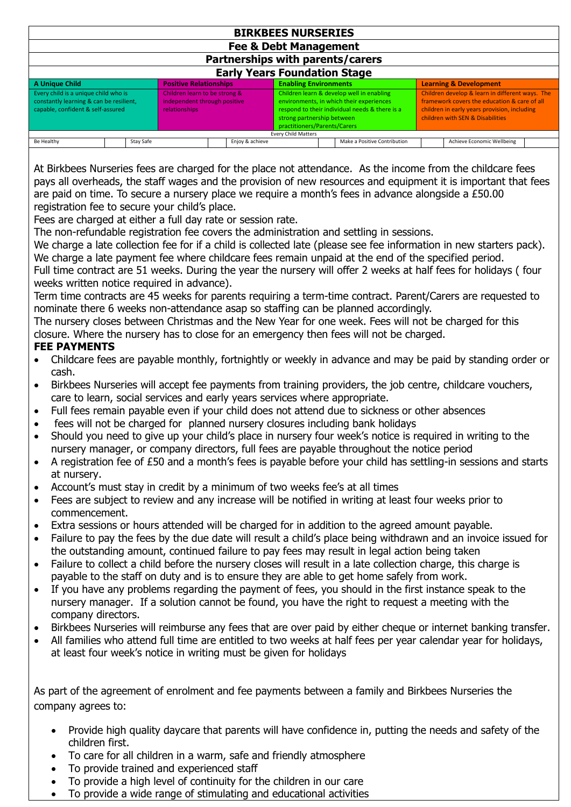| <b>BIRKBEES NURSERIES</b>                                                                                            |           |  |                                                                                |                 |  |                                                                                                                                                                                                       |  |                              |                                                                                                                                                                                     |                            |  |
|----------------------------------------------------------------------------------------------------------------------|-----------|--|--------------------------------------------------------------------------------|-----------------|--|-------------------------------------------------------------------------------------------------------------------------------------------------------------------------------------------------------|--|------------------------------|-------------------------------------------------------------------------------------------------------------------------------------------------------------------------------------|----------------------------|--|
| <b>Fee &amp; Debt Management</b>                                                                                     |           |  |                                                                                |                 |  |                                                                                                                                                                                                       |  |                              |                                                                                                                                                                                     |                            |  |
| Partnerships with parents/carers                                                                                     |           |  |                                                                                |                 |  |                                                                                                                                                                                                       |  |                              |                                                                                                                                                                                     |                            |  |
| <b>Early Years Foundation Stage</b>                                                                                  |           |  |                                                                                |                 |  |                                                                                                                                                                                                       |  |                              |                                                                                                                                                                                     |                            |  |
| A Unique Child                                                                                                       |           |  | <b>Positive Relationships</b>                                                  |                 |  | <b>Enabling Environments</b>                                                                                                                                                                          |  |                              | <b>Learning &amp; Development</b>                                                                                                                                                   |                            |  |
| Every child is a unique child who is<br>constantly learning & can be resilient,<br>capable, confident & self-assured |           |  | Children learn to be strong &<br>independent through positive<br>relationships |                 |  | Children learn & develop well in enabling<br>environments, in which their experiences<br>respond to their individual needs & there is a<br>strong partnership between<br>practitioners/Parents/Carers |  |                              | Children develop & learn in different ways. The<br>framework covers the education & care of all<br>children in early years provision, including<br>children with SEN & Disabilities |                            |  |
| <b>Every Child Matters</b>                                                                                           |           |  |                                                                                |                 |  |                                                                                                                                                                                                       |  |                              |                                                                                                                                                                                     |                            |  |
| Be Healthy                                                                                                           | Stay Safe |  |                                                                                | Enjoy & achieve |  |                                                                                                                                                                                                       |  | Make a Positive Contribution |                                                                                                                                                                                     | Achieve Economic Wellbeing |  |

At Birkbees Nurseries fees are charged for the place not attendance. As the income from the childcare fees pays all overheads, the staff wages and the provision of new resources and equipment it is important that fees are paid on time. To secure a nursery place we require a month's fees in advance alongside a £50.00 registration fee to secure your child's place.

Fees are charged at either a full day rate or session rate.

The non-refundable registration fee covers the administration and settling in sessions.

We charge a late collection fee for if a child is collected late (please see fee information in new starters pack). We charge a late payment fee where childcare fees remain unpaid at the end of the specified period.

Full time contract are 51 weeks. During the year the nursery will offer 2 weeks at half fees for holidays ( four weeks written notice required in advance).

Term time contracts are 45 weeks for parents requiring a term-time contract. Parent/Carers are requested to nominate there 6 weeks non-attendance asap so staffing can be planned accordingly.

The nursery closes between Christmas and the New Year for one week. Fees will not be charged for this closure. Where the nursery has to close for an emergency then fees will not be charged.

## **FEE PAYMENTS**

- Childcare fees are payable monthly, fortnightly or weekly in advance and may be paid by standing order or cash.
- Birkbees Nurseries will accept fee payments from training providers, the job centre, childcare vouchers, care to learn, social services and early years services where appropriate.
- Full fees remain payable even if your child does not attend due to sickness or other absences
- fees will not be charged for planned nursery closures including bank holidays
- Should you need to give up your child's place in nursery four week's notice is required in writing to the nursery manager, or company directors, full fees are payable throughout the notice period
- A registration fee of £50 and a month's fees is payable before your child has settling-in sessions and starts at nursery.
- Account's must stay in credit by a minimum of two weeks fee's at all times
- Fees are subject to review and any increase will be notified in writing at least four weeks prior to commencement.
- Extra sessions or hours attended will be charged for in addition to the agreed amount payable.
- Failure to pay the fees by the due date will result a child's place being withdrawn and an invoice issued for the outstanding amount, continued failure to pay fees may result in legal action being taken
- Failure to collect a child before the nursery closes will result in a late collection charge, this charge is payable to the staff on duty and is to ensure they are able to get home safely from work.
- If you have any problems regarding the payment of fees, you should in the first instance speak to the nursery manager. If a solution cannot be found, you have the right to request a meeting with the company directors.
- Birkbees Nurseries will reimburse any fees that are over paid by either cheque or internet banking transfer.
- All families who attend full time are entitled to two weeks at half fees per year calendar year for holidays, at least four week's notice in writing must be given for holidays

As part of the agreement of enrolment and fee payments between a family and Birkbees Nurseries the company agrees to:

- Provide high quality daycare that parents will have confidence in, putting the needs and safety of the children first.
- To care for all children in a warm, safe and friendly atmosphere
- To provide trained and experienced staff
- To provide a high level of continuity for the children in our care
- To provide a wide range of stimulating and educational activities